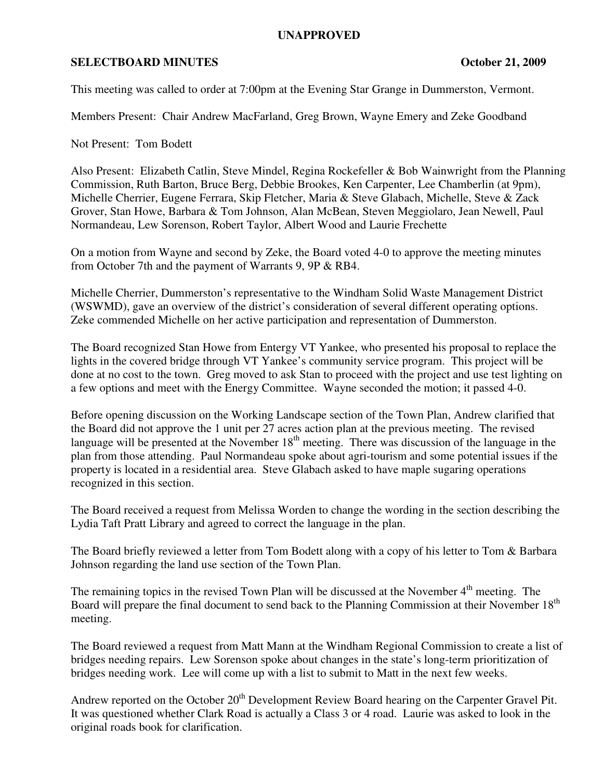## **UNAPPROVED**

## **SELECTBOARD MINUTES October 21, 2009**

This meeting was called to order at 7:00pm at the Evening Star Grange in Dummerston, Vermont.

Members Present: Chair Andrew MacFarland, Greg Brown, Wayne Emery and Zeke Goodband

Not Present: Tom Bodett

Also Present: Elizabeth Catlin, Steve Mindel, Regina Rockefeller & Bob Wainwright from the Planning Commission, Ruth Barton, Bruce Berg, Debbie Brookes, Ken Carpenter, Lee Chamberlin (at 9pm), Michelle Cherrier, Eugene Ferrara, Skip Fletcher, Maria & Steve Glabach, Michelle, Steve & Zack Grover, Stan Howe, Barbara & Tom Johnson, Alan McBean, Steven Meggiolaro, Jean Newell, Paul Normandeau, Lew Sorenson, Robert Taylor, Albert Wood and Laurie Frechette

On a motion from Wayne and second by Zeke, the Board voted 4-0 to approve the meeting minutes from October 7th and the payment of Warrants 9, 9P & RB4.

Michelle Cherrier, Dummerston's representative to the Windham Solid Waste Management District (WSWMD), gave an overview of the district's consideration of several different operating options. Zeke commended Michelle on her active participation and representation of Dummerston.

The Board recognized Stan Howe from Entergy VT Yankee, who presented his proposal to replace the lights in the covered bridge through VT Yankee's community service program. This project will be done at no cost to the town. Greg moved to ask Stan to proceed with the project and use test lighting on a few options and meet with the Energy Committee. Wayne seconded the motion; it passed 4-0.

Before opening discussion on the Working Landscape section of the Town Plan, Andrew clarified that the Board did not approve the 1 unit per 27 acres action plan at the previous meeting. The revised language will be presented at the November  $18<sup>th</sup>$  meeting. There was discussion of the language in the plan from those attending. Paul Normandeau spoke about agri-tourism and some potential issues if the property is located in a residential area. Steve Glabach asked to have maple sugaring operations recognized in this section.

The Board received a request from Melissa Worden to change the wording in the section describing the Lydia Taft Pratt Library and agreed to correct the language in the plan.

The Board briefly reviewed a letter from Tom Bodett along with a copy of his letter to Tom & Barbara Johnson regarding the land use section of the Town Plan.

The remaining topics in the revised Town Plan will be discussed at the November 4<sup>th</sup> meeting. The Board will prepare the final document to send back to the Planning Commission at their November 18<sup>th</sup> meeting.

The Board reviewed a request from Matt Mann at the Windham Regional Commission to create a list of bridges needing repairs. Lew Sorenson spoke about changes in the state's long-term prioritization of bridges needing work. Lee will come up with a list to submit to Matt in the next few weeks.

Andrew reported on the October 20<sup>th</sup> Development Review Board hearing on the Carpenter Gravel Pit. It was questioned whether Clark Road is actually a Class 3 or 4 road. Laurie was asked to look in the original roads book for clarification.